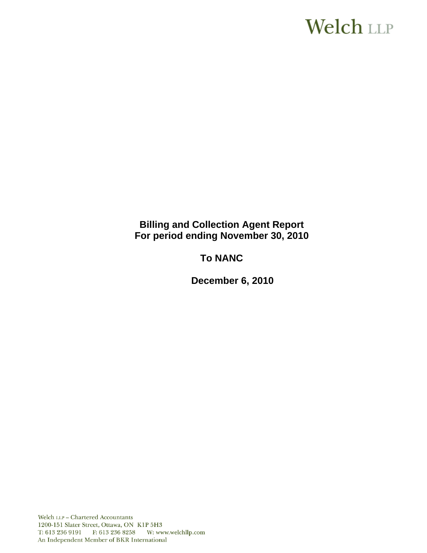# **Welch LLP**

# **Billing and Collection Agent Report For period ending November 30, 2010**

# **To NANC**

 **December 6, 2010**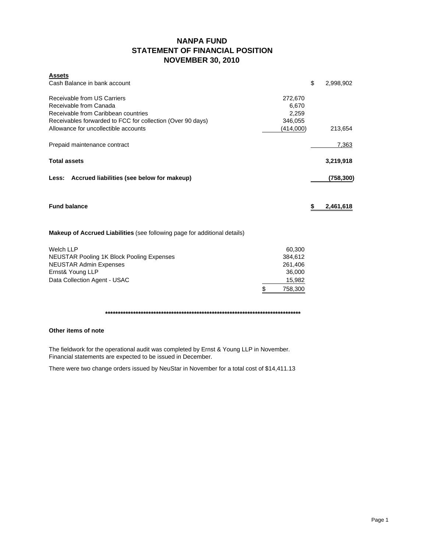# **NANPA FUND STATEMENT OF FINANCIAL POSITION NOVEMBER 30, 2010**

| <b>Assets</b>                                                                    |               |                 |
|----------------------------------------------------------------------------------|---------------|-----------------|
| Cash Balance in bank account                                                     |               | \$<br>2,998,902 |
| Receivable from US Carriers                                                      |               |                 |
|                                                                                  | 272,670       |                 |
| Receivable from Canada                                                           | 6,670         |                 |
| Receivable from Caribbean countries                                              | 2,259         |                 |
| Receivables forwarded to FCC for collection (Over 90 days)                       | 346,055       |                 |
| Allowance for uncollectible accounts                                             | (414,000)     | 213,654         |
| Prepaid maintenance contract                                                     |               | 7,363           |
| <b>Total assets</b>                                                              |               | 3,219,918       |
|                                                                                  |               |                 |
| Less: Accrued liabilities (see below for makeup)                                 |               | (758, 300)      |
|                                                                                  |               |                 |
| <b>Fund balance</b>                                                              |               | \$<br>2,461,618 |
|                                                                                  |               |                 |
|                                                                                  |               |                 |
| <b>Makeup of Accrued Liabilities</b> (see following page for additional details) |               |                 |
| <b>Welch LLP</b>                                                                 | 60,300        |                 |
| <b>NEUSTAR Pooling 1K Block Pooling Expenses</b>                                 | 384,612       |                 |
| <b>NEUSTAR Admin Expenses</b>                                                    | 261,406       |                 |
| Ernst& Young LLP                                                                 | 36,000        |                 |
| Data Collection Agent - USAC                                                     | 15,982        |                 |
|                                                                                  |               |                 |
|                                                                                  | \$<br>758,300 |                 |

### **\*\*\*\*\*\*\*\*\*\*\*\*\*\*\*\*\*\*\*\*\*\*\*\*\*\*\*\*\*\*\*\*\*\*\*\*\*\*\*\*\*\*\*\*\*\*\*\*\*\*\*\*\*\*\*\*\*\*\*\*\*\*\*\*\*\*\*\*\*\*\*\*\*\*\*\*\***

# **Other items of note**

The fieldwork for the operational audit was completed by Ernst & Young LLP in November. Financial statements are expected to be issued in December.

There were two change orders issued by NeuStar in November for a total cost of \$14,411.13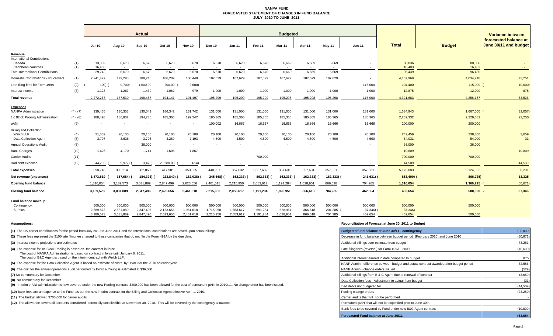#### **NANPA FUND FORECASTED STATEMENT OF CHANGES IN FUND BALANCEJULY 2010 TO JUNE 2011**

|                                                                     |            | <b>Actual</b>          |                          |                          |                        |                                   | <b>Budgeted</b>          |                          |                          |                          |                          |                          |                          |                   |                   | <b>Variance between</b>                        |  |
|---------------------------------------------------------------------|------------|------------------------|--------------------------|--------------------------|------------------------|-----------------------------------|--------------------------|--------------------------|--------------------------|--------------------------|--------------------------|--------------------------|--------------------------|-------------------|-------------------|------------------------------------------------|--|
|                                                                     |            | <b>Jul-10</b>          | Aug-10                   | Sep-10                   | Oct-10                 | <b>Nov-10</b>                     | <b>Dec-10</b>            | $Jan-11$                 | Feb-11                   | Mar-11                   | Apr-11                   | Mav-11                   | $Jun-11$                 | <b>Total</b>      | <b>Budget</b>     | forecasted balance at<br>June 30/11 and budget |  |
| Revenue                                                             |            |                        |                          |                          |                        |                                   |                          |                          |                          |                          |                          |                          |                          |                   |                   |                                                |  |
| <b>International Contributions</b><br>Canada<br>Caribbean countries | (1)<br>(1) | 13,339<br>16.403       | 6,670<br>$\sim$          | 6,670                    | 6,670                  | 6,670<br>$\overline{\phantom{a}}$ | 6,670                    | 6,670                    | 6,670                    | 6,669                    | 6,669                    | 6,669                    |                          | 80,036<br>16,403  | 80,036<br>16.403  |                                                |  |
| <b>Total International Contributions</b>                            |            | 29,742                 | 6,670                    | 6,670                    | 6,670                  | 6,670                             | 6.670                    | 6,670                    | 6,670                    | 6,669                    | 6.669                    | 6,669                    | $\overline{\phantom{a}}$ | 96,439            | 96,439            |                                                |  |
| Domestic Contributions - US carriers                                | (1)        | 2,241,497              | 179,293                  | 188,748                  | 186,209                | 186,448                           | 187,629                  | 187,629                  | 187,629                  | 187,629                  | 187,629                  | 187,629                  |                          | 4,107,969         | 4,034,718         | 73,251                                         |  |
| Late filing fees for Form 499A                                      | (2)        | 100)                   | 9,700                    | 1,600.00                 | 200.00                 | 2,600                             | $\overline{\phantom{a}}$ | $\overline{\phantom{a}}$ | $\overline{\phantom{a}}$ |                          | $\overline{\phantom{a}}$ | $\overline{\phantom{a}}$ | 115,000                  | 104,400           | 115,000           | 10,600                                         |  |
| Interest income                                                     | (3)        | 1,128                  | 1,267                    | 1,439                    | 1,062                  | 979                               | 1,000                    | 1,000                    | 1,000                    | 1,000                    | 1,000                    | 1,000                    | 1,000                    | 12,875            | 12,000            | 875                                            |  |
| <b>Total revenue</b>                                                |            | 2,272,267              | 177,530                  | 198,457                  | 194,141                | 191,497                           | 195,299                  | 195,299                  | 195,299                  | 195,298                  | 195,298                  | 195,298                  | 116,000                  | 4,321,683         | 4,258,157         | 63,526                                         |  |
|                                                                     |            |                        |                          |                          |                        |                                   |                          |                          |                          |                          |                          |                          |                          |                   |                   |                                                |  |
| Expenses<br><b>NANPA Administration</b>                             | (4), (7)   | 139,465                | 130,353                  | 130,041                  | 186,342                | 131,742                           | 131,000                  | 131,000                  | 131,000                  | 131,000                  | 131,000                  | 131,000                  | 131,000                  | 1,634,943         | 1,667,000         | 32,057                                         |  |
| 1K Block Pooling Administration                                     | (4), (8)   | 188,498                | 186,932                  | 194,735                  | 185,365                | 199,247                           | 185,365                  | 185,365                  | 185,365                  | 185,365                  | 185,365                  | 185,365                  | 185,365                  | 2,252,332         | 2,229,082         | 23,250                                         |  |
| pANI                                                                | (9)        |                        | $\overline{\phantom{a}}$ | $\overline{\phantom{a}}$ |                        | $\overline{\phantom{a}}$          | 100,002                  | 16,667                   | 16,667                   | 16,666                   | 16,666                   | 16,666                   | 16,666                   | 200,000           | 200,000           |                                                |  |
| <b>Billing and Collection</b>                                       |            |                        |                          |                          |                        |                                   |                          |                          |                          |                          |                          |                          |                          |                   |                   |                                                |  |
| Welch LLP<br><b>Data Collection Agent</b>                           | (4)<br>(5) | 21,359<br>3,707        | 20,100<br>3,636          | 20,100<br>3,706          | 20,100<br>4,289        | 20,100<br>7,193                   | 20,100<br>4,500          | 20,100<br>4,500          | 20,100<br>4,500          | 20,100<br>4,500          | 20,100<br>4,500          | 20,100<br>4,500          | 20,100<br>4,500          | 242,459<br>54,031 | 238,800<br>54,000 | 3,659<br>31                                    |  |
| <b>Annual Operations Audit</b>                                      | (6)        | $\sim$                 | $\sim$                   | 36,000                   | $\sim$                 | $\sim$                            | $\sim$                   | $\overline{\phantom{a}}$ | $\sim$                   | $\overline{\phantom{a}}$ | $\overline{\phantom{a}}$ |                          |                          | 36,000            | 36,000            |                                                |  |
| <b>Bank Charges</b>                                                 | (10)       | 1,426                  | 4,170                    | 1,741                    | 1,605                  | 1,867                             |                          |                          |                          |                          |                          |                          |                          | 10,809            | $\sim$            | 10,809                                         |  |
| <b>Carrier Audits</b>                                               | (11)       |                        | $\overline{\phantom{a}}$ | $\overline{\phantom{a}}$ |                        | $\overline{\phantom{a}}$          |                          |                          | 700,000                  |                          |                          |                          |                          | 700,000           | 700,000           |                                                |  |
| Bad debt expense                                                    | (12)       | 44,293                 | 9,977)                   | 3,473                    | 20,280.00              | 6,614)                            |                          |                          |                          |                          |                          |                          |                          | 44,509            |                   | 44,509                                         |  |
| <b>Total expenses</b>                                               |            | 398.748                | 335,214                  | 382,850                  | 417,981                | 353,535                           | 440.967                  | 357,632                  | 1,057,632                | 357,631                  | 357,631                  | 357,631                  | 357,631                  | 5,175,083         | 5,124,882         | 50,201                                         |  |
| Net revenue (expenses)                                              |            | 1,873,519              | 157,684) (               | 184,393)                 | 223,840)               | 162,038)                          | 245,668)                 | 162,333)                 | 862,333)                 | 162,333)                 | 162,333)                 | 162,333)                 | $241,631$ )              | 853,400)          | 866,725)          | 13,325                                         |  |
| Opening fund balance                                                |            | 1,316,054              | 3,189,573                | 3,031,889                | 2,847,496              | 2,623,656                         | 2,461,618                | 2,215,950                | 2,053,617                | 1,191,284                | 1,028,951                | 866,618                  | 704,285                  | 1,316,054         | 1,366,725         | 50,671                                         |  |
| <b>Closing fund balance</b>                                         |            | 3,189,573              | 3,031,889                | 2,847,496                | 2,623,656              | 2,461,618                         | 2,215,950                | 2,053,617                | 1,191,284                | 1,028,951                | 866,618                  | 704,285                  | 462,654                  | 462,654           | 500,000           | 37,346                                         |  |
|                                                                     |            |                        |                          |                          |                        |                                   |                          |                          |                          |                          |                          |                          |                          |                   |                   |                                                |  |
| Fund balance makeup:<br>Contingency                                 |            | 500,000                | 500,000                  | 500,000                  | 500,000                | 500,000                           | 500,000                  | 500,000<br>1,553,617     | 500,000<br>691,284       | 500,000<br>528,951       | 500,000<br>366,618       | 500,000<br>204,285       | 500,000                  | 500,000<br>37,346 | 500,000           |                                                |  |
| Surplus                                                             |            | 2,689,573<br>3,189,573 | 2,531,889<br>3,031,889   | 2,347,496<br>2,847,496   | 2,123,656<br>2,623,656 | 1,961,618<br>2,461,618            | 1,715,950<br>2,215,950   | 2.053.617                | 1,191,284                | 1,028,951                | 866.618                  | 704,285                  | 37,346)<br>462,654       | 462.654           | 500,000           |                                                |  |

#### **Assumptions: Reconciliation of Forecast at June 30, 2011 to Budget**

| (1) The US carrier contributions for the period from July 2010 to June 2011 and the International contributions are based upon actual billings.                                        | Budgeted fund balance at June 30/11 - contingency                                      | 500,000   |
|----------------------------------------------------------------------------------------------------------------------------------------------------------------------------------------|----------------------------------------------------------------------------------------|-----------|
| (2) These fees represent the \$100 late filing fee charged to those companies that do not file the Form 499A by the due date.                                                          | Decrease in fund balance between budget period (February 2010) and June 2010           | (50, 671) |
| (3) Interest income projections are estimates                                                                                                                                          | Additional billings over estimate from budget                                          | 73,251    |
| (4) The expense for 1K Block Pooling is based on the contract in force.<br>The cost of NANPA Administration is based on contract in force until January 8, 2011.                       | Late filing fees (reversal) for Form 499A - 2009                                       | (10,600)  |
| The cost of B&C Agent is based on the interim contract with Welch LLP.                                                                                                                 | Additional interest earned to date compared to budget                                  | 875       |
| (5) The expense for the Data Collection Agent is based on estimate of costs by USAC for the 2010 calendar year.                                                                        | NANP Admin - difference between budget and actual contract awarded after budget period | 32,586    |
| (6) The cost for the annual operations audit performed by Ernst & Young is estimated at \$36,000.                                                                                      | NANP Admin - change orders issued                                                      | (529)     |
| (7) No commentary for December                                                                                                                                                         | Additional billings from B & C Agent due to renewal of contract                        | (3,659)   |
| (8) No commentary for December                                                                                                                                                         | Data Collection fees - Adjustment to actual from budget                                | (31)      |
| (9) Interim p-ANI administration is now covered under the new Pooling contract. \$200,000 has been allowed for the cost of permanent pANI in 2010/11. No change order has been issued. | Bad debts not budgeted for                                                             | (44, 509) |
| (10) Bank fees are an expense to the Fund as per the new interim contract for the Billing and Collection Agent effective April 1, 2010.                                                | Pooling change orders                                                                  | (23.250)  |
| (11) The budget allowed \$700,000 for carrier audits.                                                                                                                                  | Carrier audits that will not be performed                                              |           |
| (12) The allowance covers all accounts considered potentially uncollectible at November 30, 2010. This will be covered by the contingency allowance.                                   | Permanent pANi that will not be expended prior to June 30th.                           |           |
|                                                                                                                                                                                        | Bank fees to be covered by Fund under new B&C Agent contract                           | (10, 809) |
|                                                                                                                                                                                        | Forecasted Fund balance at June 30/11                                                  | 462,654   |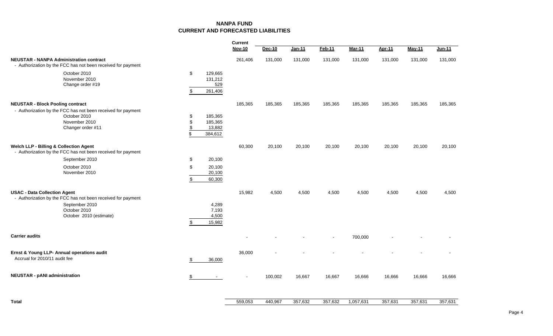# **NANPA FUNDCURRENT AND FORECASTED LIABILITIES**

|                                                                                                                                                                  |                                                                 | <b>Nov-10</b> | Dec-10  | Jan-11  | $Feb-11$                 | <b>Mar-11</b> | <b>Apr-11</b> | <b>May-11</b> | Jun-11  |
|------------------------------------------------------------------------------------------------------------------------------------------------------------------|-----------------------------------------------------------------|---------------|---------|---------|--------------------------|---------------|---------------|---------------|---------|
| <b>NEUSTAR - NANPA Administration contract</b><br>- Authorization by the FCC has not been received for payment                                                   |                                                                 | 261,406       | 131,000 | 131,000 | 131,000                  | 131,000       | 131,000       | 131,000       | 131,000 |
| October 2010<br>November 2010<br>Change order #19                                                                                                                | \$<br>129,665<br>131,212<br>529<br>\$<br>261,406                |               |         |         |                          |               |               |               |         |
| <b>NEUSTAR - Block Pooling contract</b>                                                                                                                          |                                                                 | 185,365       | 185,365 | 185,365 | 185,365                  | 185,365       | 185,365       | 185,365       | 185,365 |
| - Authorization by the FCC has not been received for payment<br>October 2010<br>November 2010<br>Changer order #11                                               | 185,365<br>\$<br>\$<br>185,365<br>\$<br>13,882<br>\$<br>384,612 |               |         |         |                          |               |               |               |         |
| <b>Welch LLP - Billing &amp; Collection Agent</b><br>- Authorization by the FCC has not been received for payment                                                |                                                                 | 60,300        | 20,100  | 20,100  | 20,100                   | 20,100        | 20,100        | 20,100        | 20,100  |
| September 2010<br>October 2010<br>November 2010                                                                                                                  | \$<br>20,100<br>\$<br>20,100<br>20,100<br>60,300<br>\$          |               |         |         |                          |               |               |               |         |
| <b>USAC - Data Collection Agent</b><br>- Authorization by the FCC has not been received for payment<br>September 2010<br>October 2010<br>October 2010 (estimate) | 4,289<br>7,193<br>4,500<br>15,982<br>\$                         | 15,982        | 4,500   | 4,500   | 4,500                    | 4,500         | 4,500         | 4,500         | 4,500   |
| <b>Carrier audits</b>                                                                                                                                            |                                                                 |               |         |         | $\overline{\phantom{a}}$ | 700,000       |               |               |         |
| Ernst & Young LLP- Annual operations audit<br>Accrual for 2010/11 audit fee                                                                                      | \$<br>36,000                                                    | 36,000        |         |         |                          |               |               |               |         |
| <b>NEUSTAR - pANI administration</b>                                                                                                                             | \$<br>$\overline{\phantom{a}}$                                  |               | 100,002 | 16,667  | 16,667                   | 16,666        | 16,666        | 16,666        | 16,666  |
| <b>Total</b>                                                                                                                                                     |                                                                 | 559,053       | 440,967 | 357,632 | 357,632                  | 1,057,631     | 357,631       | 357,631       | 357,631 |